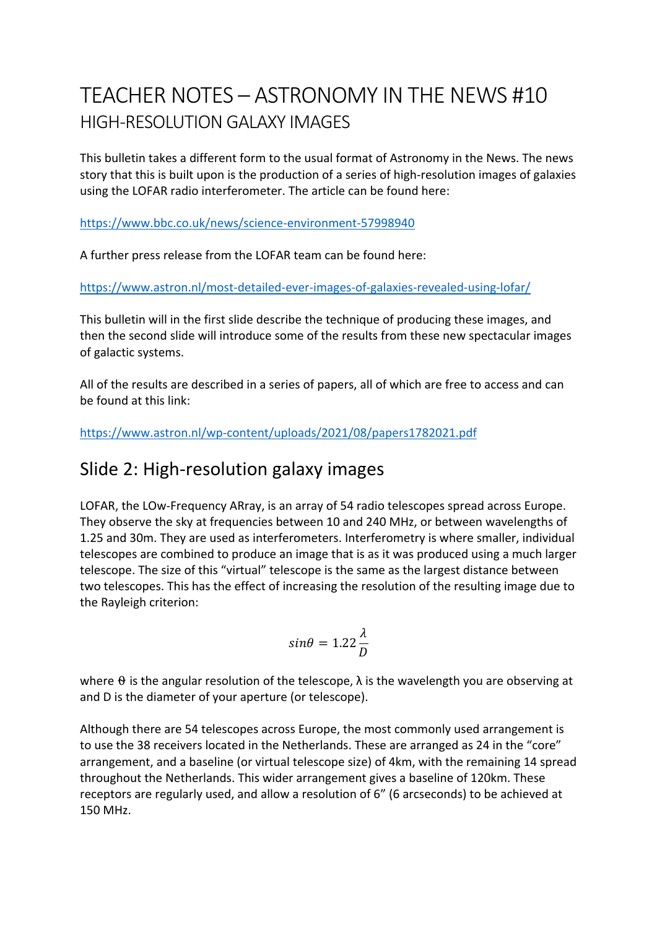# TEACHER NOTES – ASTRONOMY IN THE NEWS #10 HIGH-RESOLUTION GALAXY IMAGES

This bulletin takes a different form to the usual format of Astronomy in the News. The news story that this is built upon is the production of a series of high-resolution images of galaxies using the LOFAR radio interferometer. The article can be found here:

https://www.bbc.co.uk/news/science-environment-57998940

A further press release from the LOFAR team can be found here:

https://www.astron.nl/most-detailed-ever-images-of-galaxies-revealed-using-lofar/

This bulletin will in the first slide describe the technique of producing these images, and then the second slide will introduce some of the results from these new spectacular images of galactic systems.

All of the results are described in a series of papers, all of which are free to access and can be found at this link:

https://www.astron.nl/wp-content/uploads/2021/08/papers1782021.pdf

# Slide 2: High-resolution galaxy images

LOFAR, the LOw-Frequency ARray, is an array of 54 radio telescopes spread across Europe. They observe the sky at frequencies between 10 and 240 MHz, or between wavelengths of 1.25 and 30m. They are used as interferometers. Interferometry is where smaller, individual telescopes are combined to produce an image that is as it was produced using a much larger telescope. The size of this "virtual" telescope is the same as the largest distance between two telescopes. This has the effect of increasing the resolution of the resulting image due to the Rayleigh criterion:

$$
sin\theta = 1.22 \frac{\lambda}{D}
$$

where  $\theta$  is the angular resolution of the telescope,  $\lambda$  is the wavelength you are observing at and D is the diameter of your aperture (or telescope).

Although there are 54 telescopes across Europe, the most commonly used arrangement is to use the 38 receivers located in the Netherlands. These are arranged as 24 in the "core" arrangement, and a baseline (or virtual telescope size) of 4km, with the remaining 14 spread throughout the Netherlands. This wider arrangement gives a baseline of 120km. These receptors are regularly used, and allow a resolution of 6" (6 arcseconds) to be achieved at 150 MHz.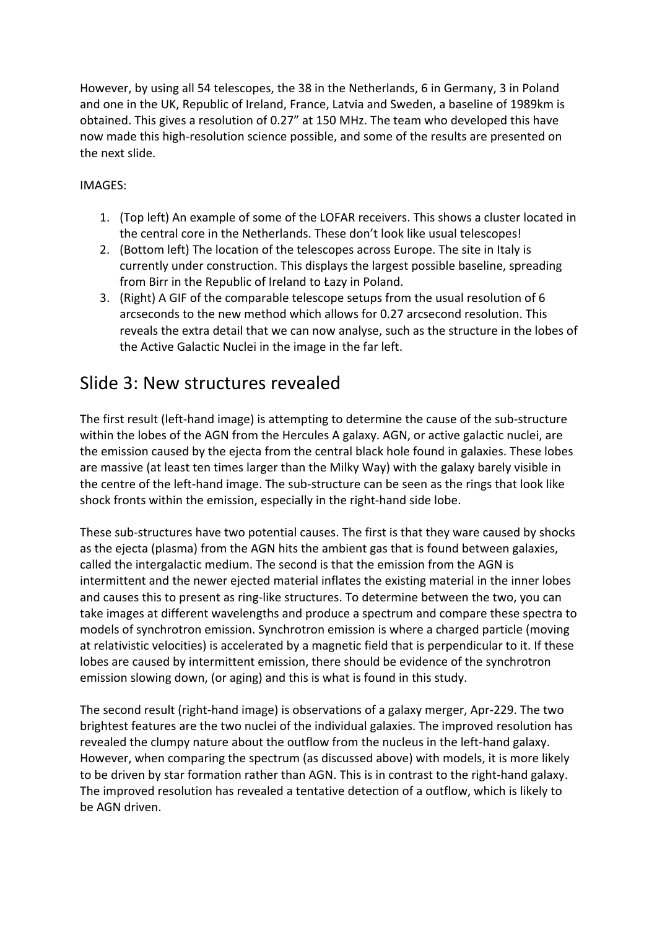However, by using all 54 telescopes, the 38 in the Netherlands, 6 in Germany, 3 in Poland and one in the UK, Republic of Ireland, France, Latvia and Sweden, a baseline of 1989km is obtained. This gives a resolution of 0.27" at 150 MHz. The team who developed this have now made this high-resolution science possible, and some of the results are presented on the next slide.

#### IMAGES:

- 1. (Top left) An example of some of the LOFAR receivers. This shows a cluster located in the central core in the Netherlands. These don't look like usual telescopes!
- 2. (Bottom left) The location of the telescopes across Europe. The site in Italy is currently under construction. This displays the largest possible baseline, spreading from Birr in the Republic of Ireland to Łazy in Poland.
- 3. (Right) A GIF of the comparable telescope setups from the usual resolution of 6 arcseconds to the new method which allows for 0.27 arcsecond resolution. This reveals the extra detail that we can now analyse, such as the structure in the lobes of the Active Galactic Nuclei in the image in the far left.

## Slide 3: New structures revealed

The first result (left-hand image) is attempting to determine the cause of the sub-structure within the lobes of the AGN from the Hercules A galaxy. AGN, or active galactic nuclei, are the emission caused by the ejecta from the central black hole found in galaxies. These lobes are massive (at least ten times larger than the Milky Way) with the galaxy barely visible in the centre of the left-hand image. The sub-structure can be seen as the rings that look like shock fronts within the emission, especially in the right-hand side lobe.

These sub-structures have two potential causes. The first is that they ware caused by shocks as the ejecta (plasma) from the AGN hits the ambient gas that is found between galaxies, called the intergalactic medium. The second is that the emission from the AGN is intermittent and the newer ejected material inflates the existing material in the inner lobes and causes this to present as ring-like structures. To determine between the two, you can take images at different wavelengths and produce a spectrum and compare these spectra to models of synchrotron emission. Synchrotron emission is where a charged particle (moving at relativistic velocities) is accelerated by a magnetic field that is perpendicular to it. If these lobes are caused by intermittent emission, there should be evidence of the synchrotron emission slowing down, (or aging) and this is what is found in this study.

The second result (right-hand image) is observations of a galaxy merger, Apr-229. The two brightest features are the two nuclei of the individual galaxies. The improved resolution has revealed the clumpy nature about the outflow from the nucleus in the left-hand galaxy. However, when comparing the spectrum (as discussed above) with models, it is more likely to be driven by star formation rather than AGN. This is in contrast to the right-hand galaxy. The improved resolution has revealed a tentative detection of a outflow, which is likely to be AGN driven.